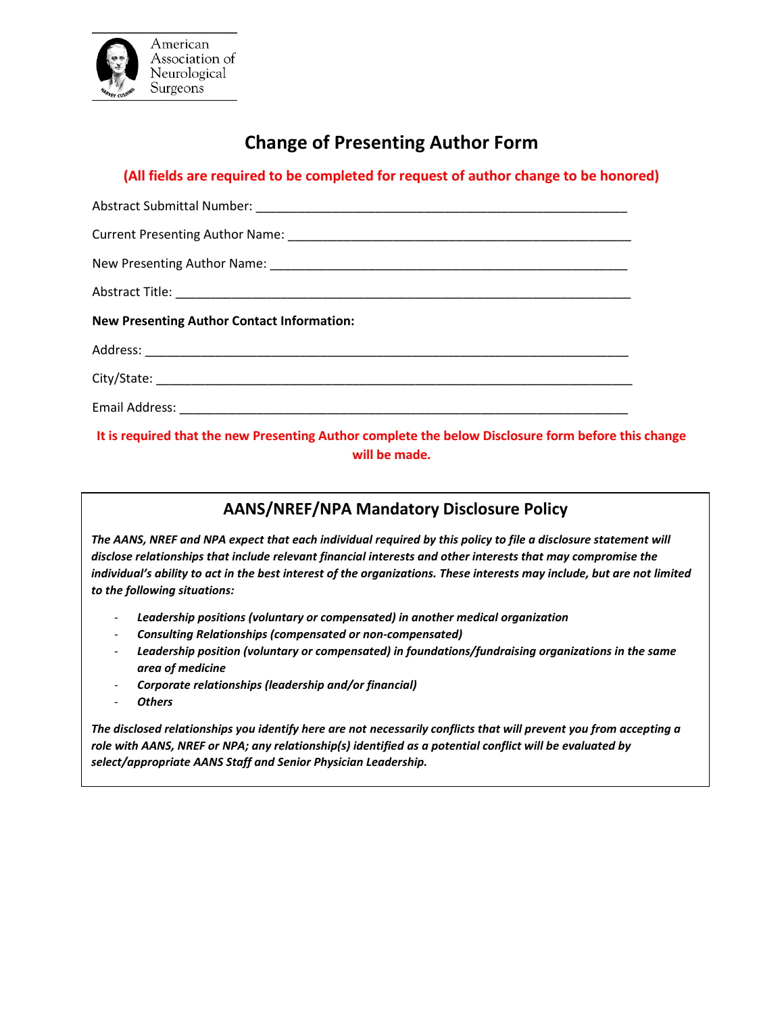

# **Change of Presenting Author Form**

## **(All fields are required to be completed for request of author change to be honored)**

| <b>New Presenting Author Contact Information:</b> |  |  |  |  |  |  |
|---------------------------------------------------|--|--|--|--|--|--|
|                                                   |  |  |  |  |  |  |
|                                                   |  |  |  |  |  |  |
|                                                   |  |  |  |  |  |  |

### **It is required that the new Presenting Author complete the below Disclosure form before this change will be made.**

# **AANS/NREF/NPA Mandatory Disclosure Policy**

*The AANS, NREF and NPA expect that each individual required by this policy to file a disclosure statement will disclose relationships that include relevant financial interests and other interests that may compromise the individual's ability to act in the best interest of the organizations. These interests may include, but are not limited to the following situations:*

- *Leadership positions (voluntary or compensated) in another medical organization*
- *Consulting Relationships (compensated or non-compensated)*
- *Leadership position (voluntary or compensated) in foundations/fundraising organizations in the same area of medicine*
- *Corporate relationships (leadership and/or financial)*
- *Others*

*The disclosed relationships you identify here are not necessarily conflicts that will prevent you from accepting a role with AANS, NREF or NPA; any relationship(s) identified as a potential conflict will be evaluated by select/appropriate AANS Staff and Senior Physician Leadership.*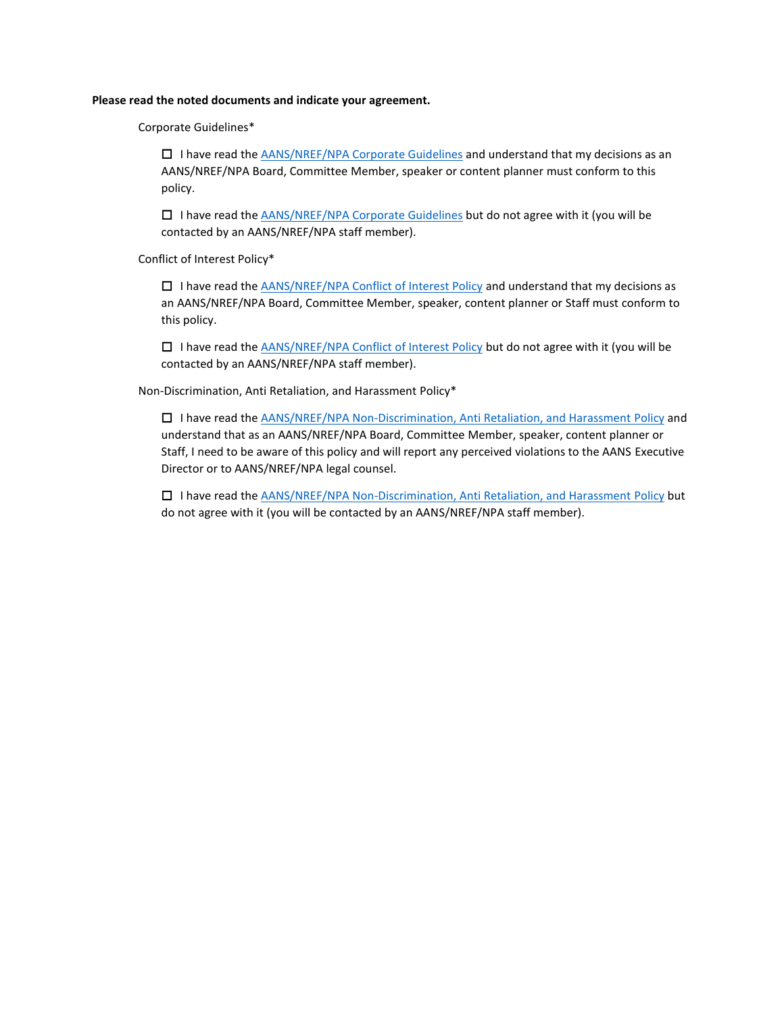#### **Please read the noted documents and indicate your agreement.**

Corporate Guidelines\*

 $\Box$  I have read the  $AANS/NREF/NPA$  Corporate Guidelines and understand that my decisions as an AANS/NREF/NPA Board, Committee Member, speaker or content planner must conform to this policy.

 $\Box$  I have read the [AANS/NREF/NPA Corporate Guidelines b](http://www.aans.org/-/media/Images/AANS/Header/Govenance/AANS_Guidelines_for_Corporate_Relations_2004.ashx?la=en&hash=A7B981591E1B28409003150B95DFA9537754CDD2)ut do not agree with it (you will be contacted by an AANS/NREF/NPA staff member).

Conflict of Interest Policy\*

 $\Box$  I have read the [AANS/NREF/NPA Conflict of Interest Policy](http://www.aans.org/-/media/Images/AANS/Header/Govenance/AANS_Governance_Conflict_of_Interest_Policy.ashx?la=en&hash=00B1CDC1B4736A253A8D2EDB941A22C0B43C5E61) and understand that my decisions as an AANS/NREF/NPA Board, Committee Member, speaker, content planner or Staff must conform to this policy.

 $\Box$  I have read the [AANS/NREF/NPA Conflict of Interest Policy](http://www.aans.org/-/media/Images/AANS/Header/Govenance/AANS_Governance_Conflict_of_Interest_Policy.ashx?la=en&hash=00B1CDC1B4736A253A8D2EDB941A22C0B43C5E61) but do not agree with it (you will be contacted by an AANS/NREF/NPA staff member).

Non-Discrimination, Anti Retaliation, and Harassment Policy\*

 I have read the [AANS/NREF/NPA Non-Discrimination, Anti Retaliation, and Harassment Policy](http://www.aans.org/-/media/Images/AANS/Header/Govenance/AANS_Non-Discrimination_Anti-Retaliation_and_Harassment_Policy.ashx?la=en&hash=AB56BD26E5D6E88A27FDBC3590EB42EE01787590) and understand that as an AANS/NREF/NPA Board, Committee Member, speaker, content planner or Staff, I need to be aware of this policy and will report any perceived violations to the AANS Executive Director or to AANS/NREF/NPA legal counsel.

□ I have read the [AANS/NREF/NPA Non-Discrimination, Anti Retaliation, and Harassment Policy](http://www.aans.org/-/media/Images/AANS/Header/Govenance/AANS_Non-Discrimination_Anti-Retaliation_and_Harassment_Policy.ashx?la=en&hash=AB56BD26E5D6E88A27FDBC3590EB42EE01787590) but do not agree with it (you will be contacted by an AANS/NREF/NPA staff member).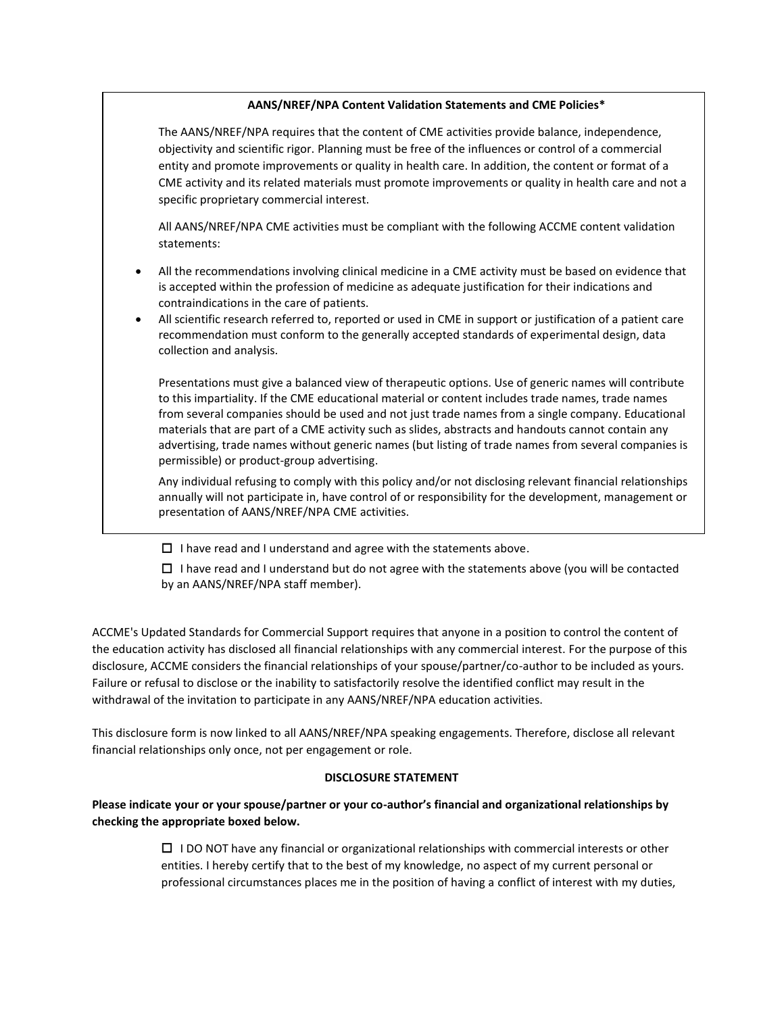### **AANS/NREF/NPA Content Validation Statements and CME Policies\***

The AANS/NREF/NPA requires that the content of CME activities provide balance, independence, objectivity and scientific rigor. Planning must be free of the influences or control of a commercial entity and promote improvements or quality in health care. In addition, the content or format of a CME activity and its related materials must promote improvements or quality in health care and not a specific proprietary commercial interest.

All AANS/NREF/NPA CME activities must be compliant with the following ACCME content validation statements:

- All the recommendations involving clinical medicine in a CME activity must be based on evidence that is accepted within the profession of medicine as adequate justification for their indications and contraindications in the care of patients.
- All scientific research referred to, reported or used in CME in support or justification of a patient care recommendation must conform to the generally accepted standards of experimental design, data collection and analysis.

Presentations must give a balanced view of therapeutic options. Use of generic names will contribute to this impartiality. If the CME educational material or content includes trade names, trade names from several companies should be used and not just trade names from a single company. Educational materials that are part of a CME activity such as slides, abstracts and handouts cannot contain any advertising, trade names without generic names (but listing of trade names from several companies is permissible) or product-group advertising.

Any individual refusing to comply with this policy and/or not disclosing relevant financial relationships annually will not participate in, have control of or responsibility for the development, management or presentation of AANS/NREF/NPA CME activities.

 $\Box$  I have read and I understand and agree with the statements above.

□ I have read and I understand but do not agree with the statements above (you will be contacted by an AANS/NREF/NPA staff member).

ACCME's Updated Standards for Commercial Support requires that anyone in a position to control the content of the education activity has disclosed all financial relationships with any commercial interest. For the purpose of this disclosure, ACCME considers the financial relationships of your spouse/partner/co-author to be included as yours. Failure or refusal to disclose or the inability to satisfactorily resolve the identified conflict may result in the withdrawal of the invitation to participate in any AANS/NREF/NPA education activities.

This disclosure form is now linked to all AANS/NREF/NPA speaking engagements. Therefore, disclose all relevant financial relationships only once, not per engagement or role.

#### **DISCLOSURE STATEMENT**

### **Please indicate your or your spouse/partner or your co-author's financial and organizational relationships by checking the appropriate boxed below.**

I DO NOT have any financial or organizational relationships with commercial interests or other entities. I hereby certify that to the best of my knowledge, no aspect of my current personal or professional circumstances places me in the position of having a conflict of interest with my duties,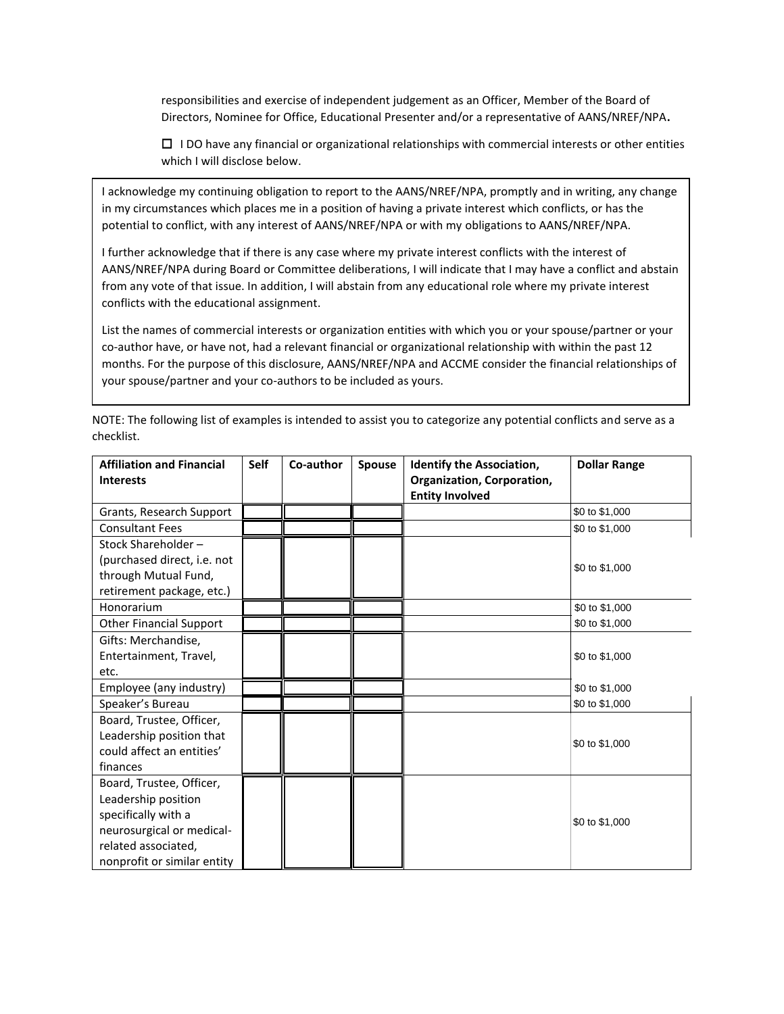responsibilities and exercise of independent judgement as an Officer, Member of the Board of Directors, Nominee for Office, Educational Presenter and/or a representative of AANS/NREF/NPA**.**

I DO have any financial or organizational relationships with commercial interests or other entities which I will disclose below.

I acknowledge my continuing obligation to report to the AANS/NREF/NPA, promptly and in writing, any change in my circumstances which places me in a position of having a private interest which conflicts, or has the potential to conflict, with any interest of AANS/NREF/NPA or with my obligations to AANS/NREF/NPA.

I further acknowledge that if there is any case where my private interest conflicts with the interest of AANS/NREF/NPA during Board or Committee deliberations, I will indicate that I may have a conflict and abstain from any vote of that issue. In addition, I will abstain from any educational role where my private interest conflicts with the educational assignment.

List the names of commercial interests or organization entities with which you or your spouse/partner or your co-author have, or have not, had a relevant financial or organizational relationship with within the past 12 months. For the purpose of this disclosure, AANS/NREF/NPA and ACCME consider the financial relationships of your spouse/partner and your co-authors to be included as yours.

| <b>Affiliation and Financial</b><br><b>Interests</b> | <b>Self</b> | Co-author | <b>Spouse</b> | <b>Identify the Association,</b><br>Organization, Corporation,<br><b>Entity Involved</b> | <b>Dollar Range</b> |
|------------------------------------------------------|-------------|-----------|---------------|------------------------------------------------------------------------------------------|---------------------|
| Grants, Research Support                             |             |           |               |                                                                                          | \$0 to \$1,000      |
| <b>Consultant Fees</b>                               |             |           |               |                                                                                          | \$0 to \$1,000      |
| Stock Shareholder-                                   |             |           |               |                                                                                          |                     |
| (purchased direct, i.e. not                          |             |           |               |                                                                                          | \$0 to \$1,000      |
| through Mutual Fund,                                 |             |           |               |                                                                                          |                     |
| retirement package, etc.)                            |             |           |               |                                                                                          |                     |
| Honorarium                                           |             |           |               |                                                                                          | \$0 to \$1,000      |
| <b>Other Financial Support</b>                       |             |           |               |                                                                                          | \$0 to \$1,000      |
| Gifts: Merchandise,                                  |             |           |               |                                                                                          |                     |
| Entertainment, Travel,                               |             |           |               |                                                                                          | \$0 to \$1,000      |
| etc.                                                 |             |           |               |                                                                                          |                     |
| Employee (any industry)                              |             |           |               |                                                                                          | \$0 to \$1,000      |
| Speaker's Bureau                                     |             |           |               |                                                                                          | \$0 to \$1,000      |
| Board, Trustee, Officer,                             |             |           |               |                                                                                          |                     |
| Leadership position that                             |             |           |               |                                                                                          | \$0 to \$1,000      |
| could affect an entities'                            |             |           |               |                                                                                          |                     |
| finances                                             |             |           |               |                                                                                          |                     |
| Board, Trustee, Officer,                             |             |           |               |                                                                                          |                     |
| Leadership position                                  |             |           |               |                                                                                          |                     |
| specifically with a                                  |             |           |               |                                                                                          | \$0 to \$1,000      |
| neurosurgical or medical-                            |             |           |               |                                                                                          |                     |
| related associated,                                  |             |           |               |                                                                                          |                     |
| nonprofit or similar entity                          |             |           |               |                                                                                          |                     |

NOTE: The following list of examples is intended to assist you to categorize any potential conflicts and serve as a checklist.